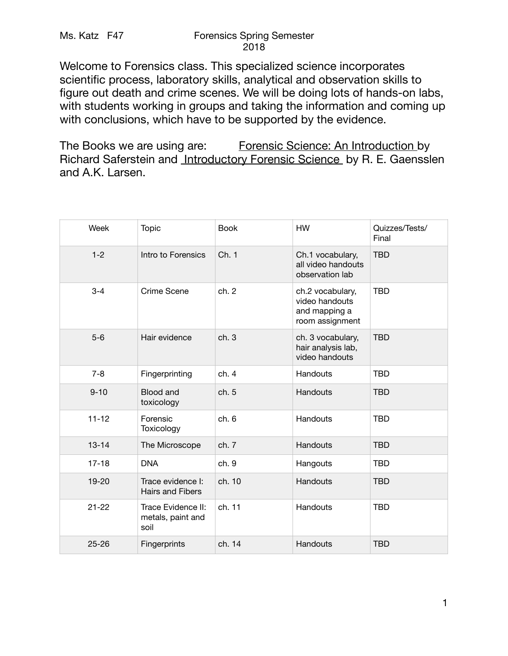## Ms. Katz F47 Forensics Spring Semester 2018

Welcome to Forensics class. This specialized science incorporates scientific process, laboratory skills, analytical and observation skills to figure out death and crime scenes. We will be doing lots of hands-on labs, with students working in groups and taking the information and coming up with conclusions, which have to be supported by the evidence.

The Books we are using are: Forensic Science: An Introduction by Richard Saferstein and Introductory Forensic Science by R. E. Gaensslen and A.K. Larsen.

| Week      | <b>Topic</b>                                    | <b>Book</b> | <b>HW</b>                                                              | Quizzes/Tests/<br>Final |
|-----------|-------------------------------------------------|-------------|------------------------------------------------------------------------|-------------------------|
| $1 - 2$   | Intro to Forensics                              | Ch. 1       | Ch.1 vocabulary,<br>all video handouts<br>observation lab              | <b>TBD</b>              |
| $3 - 4$   | Crime Scene                                     | ch. 2       | ch.2 vocabulary,<br>video handouts<br>and mapping a<br>room assignment | <b>TBD</b>              |
| $5-6$     | Hair evidence                                   | ch.3        | ch. 3 vocabulary,<br>hair analysis lab,<br>video handouts              | <b>TBD</b>              |
| $7 - 8$   | Fingerprinting                                  | ch.4        | Handouts                                                               | <b>TBD</b>              |
| $9 - 10$  | Blood and<br>toxicology                         | ch. 5       | Handouts                                                               | <b>TBD</b>              |
| $11 - 12$ | Forensic<br>Toxicology                          | ch.6        | Handouts                                                               | <b>TBD</b>              |
| $13 - 14$ | The Microscope                                  | ch. 7       | Handouts                                                               | <b>TBD</b>              |
| $17 - 18$ | <b>DNA</b>                                      | ch. 9       | Hangouts                                                               | <b>TBD</b>              |
| $19 - 20$ | Trace evidence I:<br><b>Hairs and Fibers</b>    | ch. 10      | Handouts                                                               | <b>TBD</b>              |
| $21 - 22$ | Trace Evidence II:<br>metals, paint and<br>soil | ch. 11      | Handouts                                                               | <b>TBD</b>              |
| $25 - 26$ | Fingerprints                                    | ch. 14      | Handouts                                                               | <b>TBD</b>              |